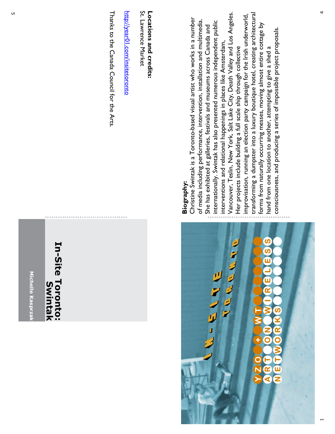Michelle Kasprza **Michelle Kasprzak**

#### In-Site Toronto: **In-Site Toronto:** Swintak **Swintak**

Thanks to the Canada Council for the Arts. Thanks to the Canada Council for the Arts.

http://year01.com/insitetoronto http://year01.com/insitetoronto

St. Lawrence Market St. Lawrence Market Locations and credits: **Locations and credits:**

# ဖာ ທ リンタラマ **VAN** n

#### **Biography: Biography:**

Vancouver, Teslin, New York, Salt Lake City, Death Valley and Los Angeles. transforming a dumpster into a luxury boutique hotel, creating architectural Vancouver, Teslin, New York, Salt Lake City, Death Valley and Los Angeles. improvisation, running an election party campaign for the Irish underworld, transforming a dumpster into a luxury boutique hotel, creating architectural improvisation, running an election party campaign for the Irish underworld, -based visual artist who works in a number Christine Swintak is a Toronto-based visual artist who works in a number of media including performance, intervention, installation and multimedia. of media including performance, intervention, installation and multimedia. internationally. Swintak has also presented numerous independent public internationally. Swintak has also presented numerous independent public forms from naturally occurring messes, moving almost entire cottage by forms from naturally occurring messes, moving almost entire cottage by She has exhibited at galleries, festivals and museums across Canada and She has exhibited at galleries, festivals and museums across Canada and consciousness, and producing a series of impossible project proposals. consciousness, and producing a series of impossible project proposals. interventions and relational happenings in places like Amsterdam, interventions and relational happenings in places like Amsterdam, Her projects include building a full scale ship through collective Her projects include building a full scale ship through collective hand from one location to another, attempting to give a shed a hand from one location to another, attempting to give a shed a Christine Swintak is a Toronto

 $\overline{\phantom{0}}$